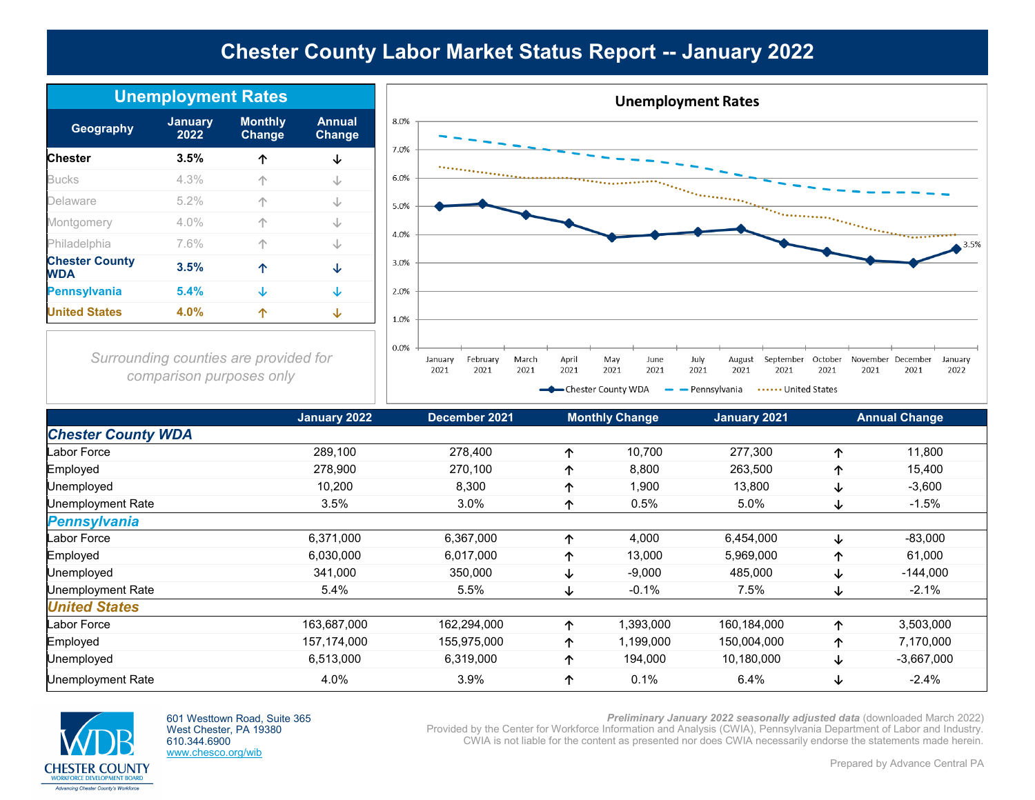# **Chester County Labor Market Status Report -- January 2022**

| <b>Unemployment Rates</b>           |                        |                                 |                                |  |
|-------------------------------------|------------------------|---------------------------------|--------------------------------|--|
| Geography                           | <b>January</b><br>2022 | <b>Monthly</b><br><b>Change</b> | <b>Annual</b><br><b>Change</b> |  |
| <b>Chester</b>                      | 3.5%                   | ኅ                               | ↓                              |  |
| <b>Bucks</b>                        | 4.3%                   |                                 | J                              |  |
| Delaware                            | 5.2%                   |                                 | J                              |  |
| Montgomery                          | 4.0%                   |                                 | J                              |  |
| Philadelphia                        | 7.6%                   |                                 | J                              |  |
| <b>Chester County</b><br><b>WDA</b> | 3.5%                   | 个                               | ↓                              |  |
| <b>Pennsylvania</b>                 | 5.4%                   | ↓                               | ↓                              |  |
| <b>United States</b>                | 4.0%                   |                                 | ↓                              |  |



*Surrounding counties are provided for comparison purposes only*

|                           | January 2022 | December 2021 |   | <b>Monthly Change</b> | January 2021 |   | <b>Annual Change</b> |
|---------------------------|--------------|---------------|---|-----------------------|--------------|---|----------------------|
| <b>Chester County WDA</b> |              |               |   |                       |              |   |                      |
| Labor Force               | 289,100      | 278,400       | ↑ | 10,700                | 277,300      | ∧ | 11,800               |
| Employed                  | 278,900      | 270,100       | 个 | 8,800                 | 263,500      | ᠰ | 15,400               |
| Unemployed                | 10,200       | 8,300         | 个 | 1,900                 | 13,800       | ↓ | $-3,600$             |
| Unemployment Rate         | 3.5%         | 3.0%          | ↑ | 0.5%                  | 5.0%         | ↓ | $-1.5%$              |
| <b>Pennsylvania</b>       |              |               |   |                       |              |   |                      |
| Labor Force               | 6,371,000    | 6,367,000     | 个 | 4,000                 | 6,454,000    | ↓ | $-83,000$            |
| Employed                  | 6,030,000    | 6,017,000     | 个 | 13,000                | 5,969,000    | ∧ | 61,000               |
| Unemployed                | 341,000      | 350,000       | ↓ | $-9,000$              | 485,000      | ↓ | $-144,000$           |
| Unemployment Rate         | 5.4%         | 5.5%          | ∿ | $-0.1%$               | 7.5%         | ↓ | $-2.1%$              |
| <b>United States</b>      |              |               |   |                       |              |   |                      |
| Labor Force               | 163,687,000  | 162,294,000   | 个 | 1,393,000             | 160,184,000  | ᠰ | 3,503,000            |
| Employed                  | 157,174,000  | 155,975,000   | 个 | 1,199,000             | 150,004,000  | 个 | 7,170,000            |
| Unemployed                | 6,513,000    | 6,319,000     | 个 | 194,000               | 10,180,000   | ↓ | $-3,667,000$         |
| <b>Unemployment Rate</b>  | 4.0%         | 3.9%          | ↑ | 0.1%                  | 6.4%         | ↓ | $-2.4%$              |



601 Westtown Road, Suite 365 West Chester, PA 19380 610.344.6900 www.chesco.org/wib

*Preliminary January 2022 seasonally adjusted data* (downloaded March 2022) Provided by the Center for Workforce Information and Analysis (CWIA), Pennsylvania Department of Labor and Industry.

CWIA is not liable for the content as presented nor does CWIA necessarily endorse the statements made herein.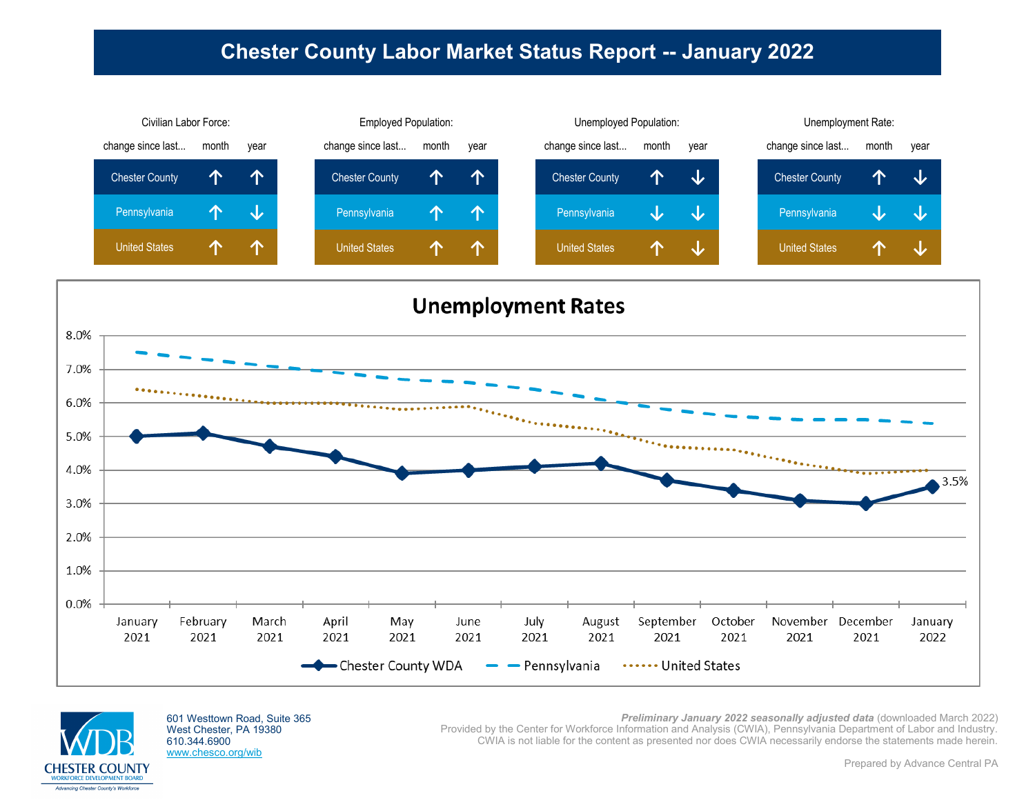## **Chester County Labor Market Status Report -- January 2022**







601 Westtown Road, Suite 365 West Chester, PA 19380 610.344.6900 www.chesco.org/wib

**Preliminary January 2022 seasonally adjusted data** (downloaded March 2022) Provided by the Center for Workforce Information and Analysis (CWIA), Pennsylvania Department of Labor and Industry. CWIA is not liable for the content as presented nor does CWIA necessarily endorse the statements made herein.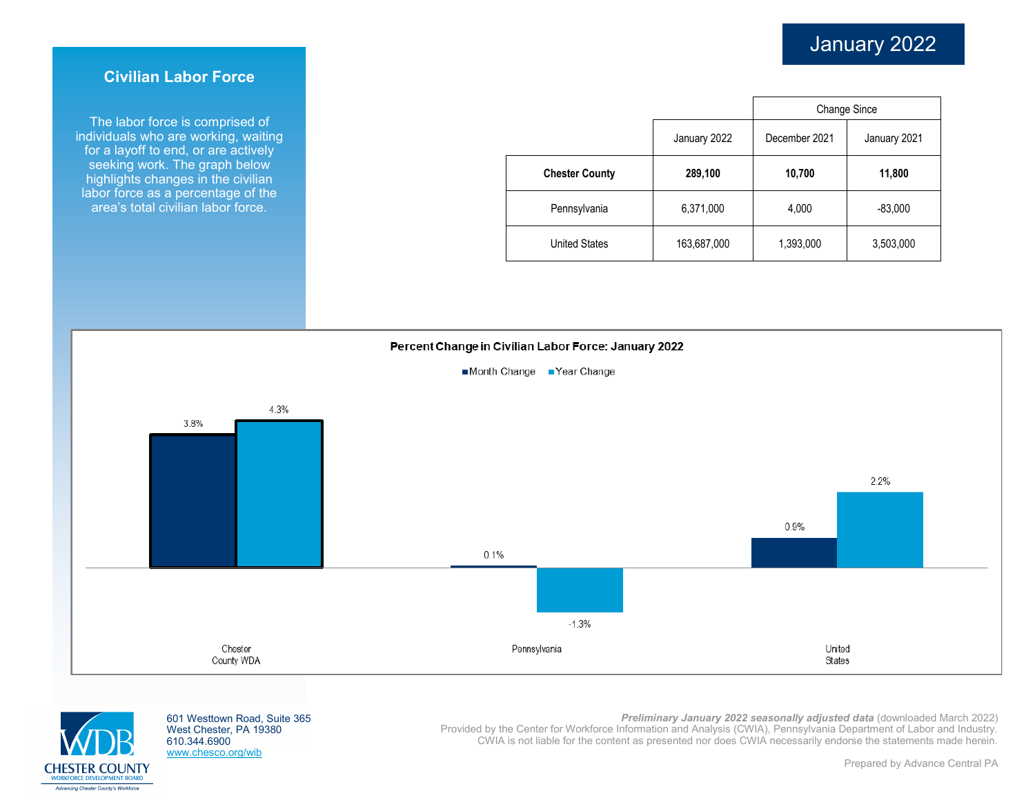### **Civilian Labor Force**

The labor force is comprised of individuals who are working, waiting for a layoff to end, or are actively seeking work. The graph below highlights changes in the civilian labor force as a percentage of the area's total civilian labor force.

|                       |              | <b>Change Since</b> |              |  |
|-----------------------|--------------|---------------------|--------------|--|
|                       | January 2022 | December 2021       | January 2021 |  |
| <b>Chester County</b> | 289,100      | 10,700              | 11,800       |  |
| Pennsylvania          | 6,371,000    | 4,000               | $-83,000$    |  |
| <b>United States</b>  | 163,687,000  | 1,393,000           | 3,503,000    |  |

#### Percent Change in Civilian Labor Force: January 2022







601 Westtown Road, Suite 365 West Chester, PA 19380 610.344.6900 www.chesco.org/wib

*Preliminary January 2022 seasonally adjusted data* (downloaded March 2022) Provided by the Center for Workforce Information and Analysis (CWIA), Pennsylvania Department of Labor and Industry. CWIA is not liable for the content as presented nor does CWIA necessarily endorse the statements made herein.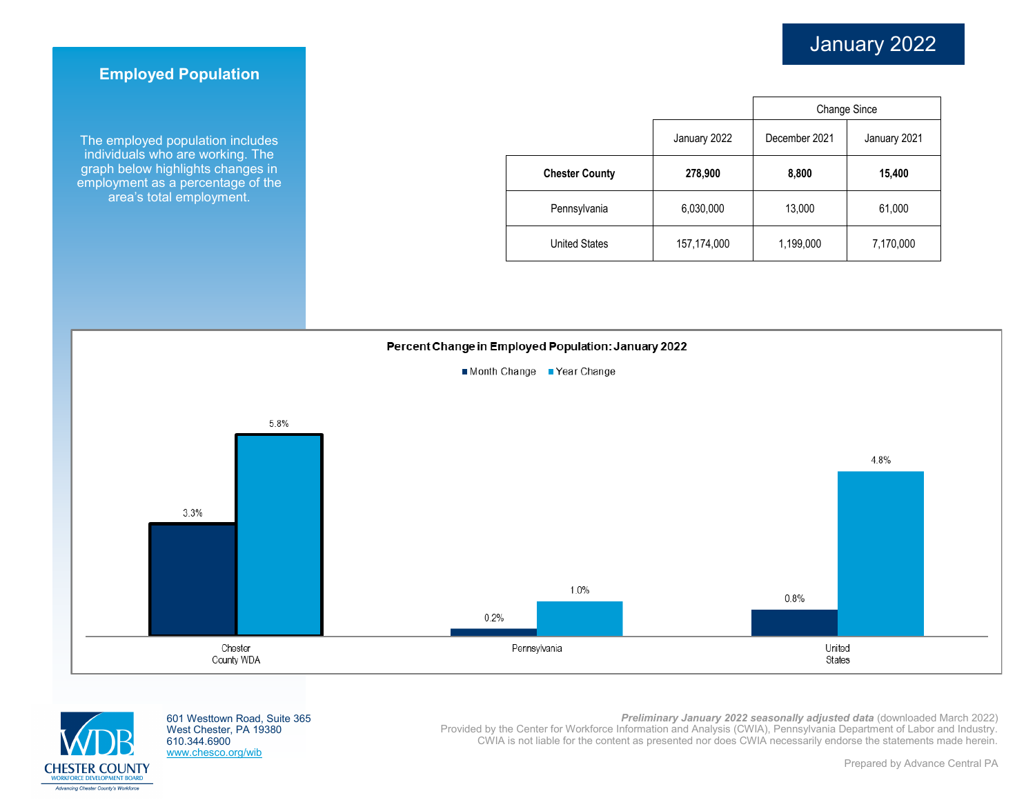## **Employed Population**

The employed population includes individuals who are working. The graph below highlights changes in employment as a percentage of the area's total employment.

|                       |              | <b>Change Since</b> |              |  |
|-----------------------|--------------|---------------------|--------------|--|
|                       | January 2022 | December 2021       | January 2021 |  |
| <b>Chester County</b> | 278,900      | 8,800               | 15,400       |  |
| Pennsylvania          | 6,030,000    | 13,000              | 61,000       |  |
| <b>United States</b>  | 157,174,000  | 1,199,000           | 7,170,000    |  |

### Percent Change in Employed Population: January 2022







601 Westtown Road, Suite 365 West Chester, PA 19380 610.344.6900 www.chesco.org/wib

*Preliminary January 2022 seasonally adjusted data* (downloaded March 2022) Provided by the Center for Workforce Information and Analysis (CWIA), Pennsylvania Department of Labor and Industry. CWIA is not liable for the content as presented nor does CWIA necessarily endorse the statements made herein.

Prepared by Advance Central PA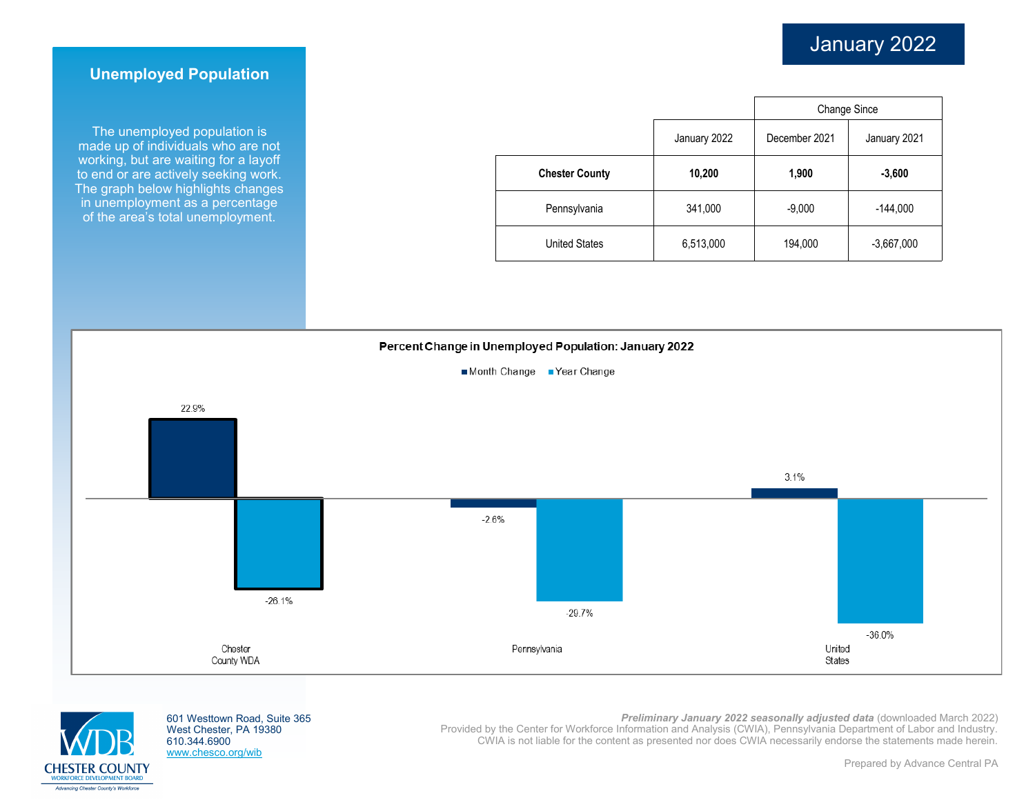## **Unemployed Population**

The unemployed population is made up of individuals who are not working, but are waiting for a layoff to end or are actively seeking work. The graph below highlights changes in unemployment as a percentage of the area's total unemployment.

|                       |              | <b>Change Since</b> |              |  |
|-----------------------|--------------|---------------------|--------------|--|
|                       | January 2022 | December 2021       | January 2021 |  |
| <b>Chester County</b> | 10,200       | 1,900               | $-3,600$     |  |
| Pennsylvania          | 341,000      | $-9,000$            | $-144,000$   |  |
| <b>United States</b>  | 6,513,000    | 194,000             | $-3,667,000$ |  |





601 Westtown Road, Suite 365 West Chester, PA 19380 610.344.6900 www.chesco.org/wib

*Preliminary January 2022 seasonally adjusted data* (downloaded March 2022)

Provided by the Center for Workforce Information and Analysis (CWIA), Pennsylvania Department of Labor and Industry. CWIA is not liable for the content as presented nor does CWIA necessarily endorse the statements made herein.

Prepared by Advance Central PA